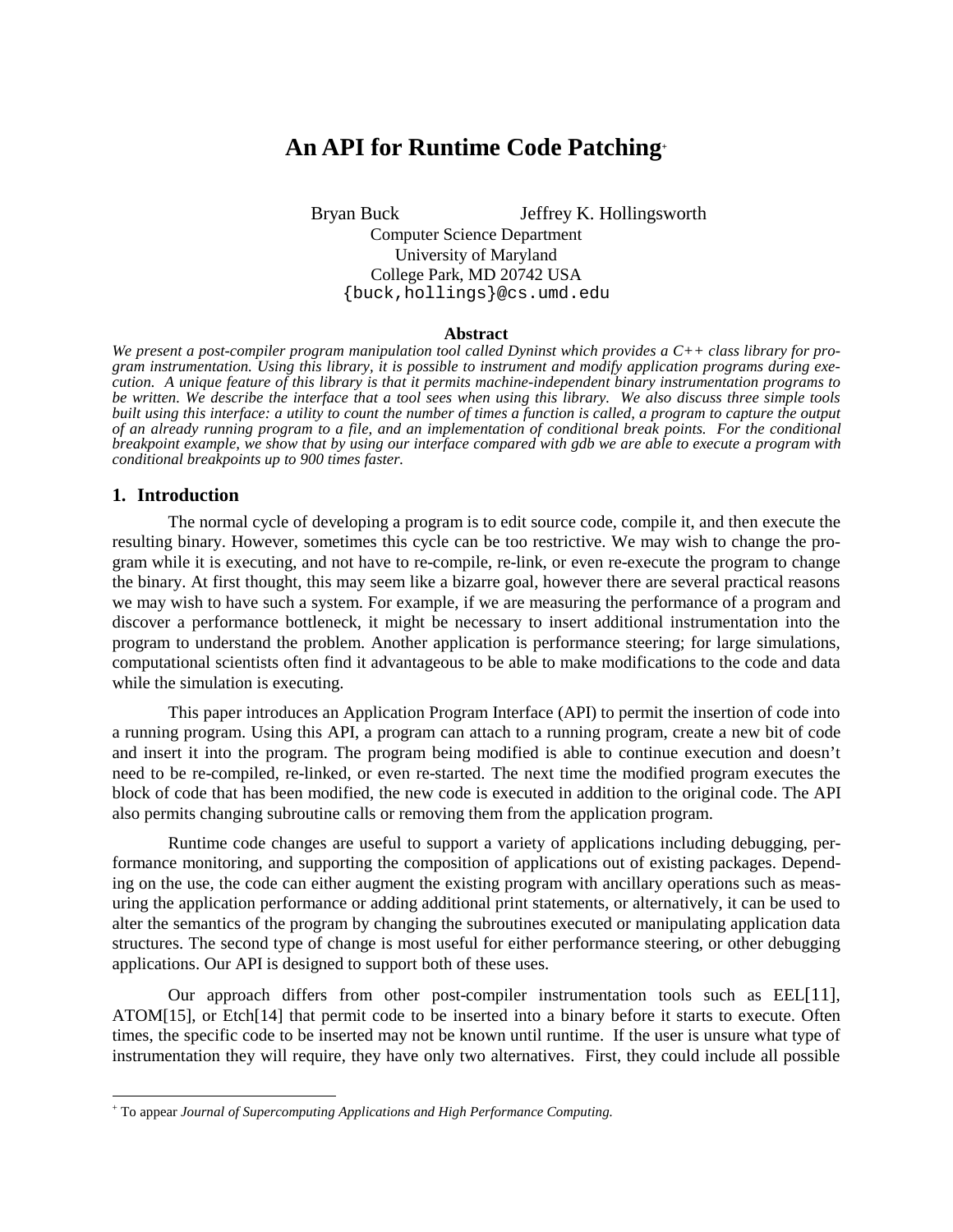# **An API for Runtime Code Patching+**

Bryan Buck Jeffrey K. Hollingsworth Computer Science Department University of Maryland College Park, MD 20742 USA {buck,hollings}@cs.umd.edu

### **Abstract**

*We present a post-compiler program manipulation tool called Dyninst which provides a C++ class library for program instrumentation. Using this library, it is possible to instrument and modify application programs during execution. A unique feature of this library is that it permits machine-independent binary instrumentation programs to be written. We describe the interface that a tool sees when using this library. We also discuss three simple tools built using this interface: a utility to count the number of times a function is called, a program to capture the output of an already running program to a file, and an implementation of conditional break points. For the conditional breakpoint example, we show that by using our interface compared with gdb we are able to execute a program with conditional breakpoints up to 900 times faster.* 

#### **1. Introduction**

 $\overline{a}$ 

The normal cycle of developing a program is to edit source code, compile it, and then execute the resulting binary. However, sometimes this cycle can be too restrictive. We may wish to change the program while it is executing, and not have to re-compile, re-link, or even re-execute the program to change the binary. At first thought, this may seem like a bizarre goal, however there are several practical reasons we may wish to have such a system. For example, if we are measuring the performance of a program and discover a performance bottleneck, it might be necessary to insert additional instrumentation into the program to understand the problem. Another application is performance steering; for large simulations, computational scientists often find it advantageous to be able to make modifications to the code and data while the simulation is executing.

This paper introduces an Application Program Interface (API) to permit the insertion of code into a running program. Using this API, a program can attach to a running program, create a new bit of code and insert it into the program. The program being modified is able to continue execution and doesn't need to be re-compiled, re-linked, or even re-started. The next time the modified program executes the block of code that has been modified, the new code is executed in addition to the original code. The API also permits changing subroutine calls or removing them from the application program.

Runtime code changes are useful to support a variety of applications including debugging, performance monitoring, and supporting the composition of applications out of existing packages. Depending on the use, the code can either augment the existing program with ancillary operations such as measuring the application performance or adding additional print statements, or alternatively, it can be used to alter the semantics of the program by changing the subroutines executed or manipulating application data structures. The second type of change is most useful for either performance steering, or other debugging applications. Our API is designed to support both of these uses.

Our approach differs from other post-compiler instrumentation tools such as EEL[11], ATOM[15], or Etch[14] that permit code to be inserted into a binary before it starts to execute. Often times, the specific code to be inserted may not be known until runtime. If the user is unsure what type of instrumentation they will require, they have only two alternatives. First, they could include all possible

<sup>+</sup> To appear *Journal of Supercomputing Applications and High Performance Computing.*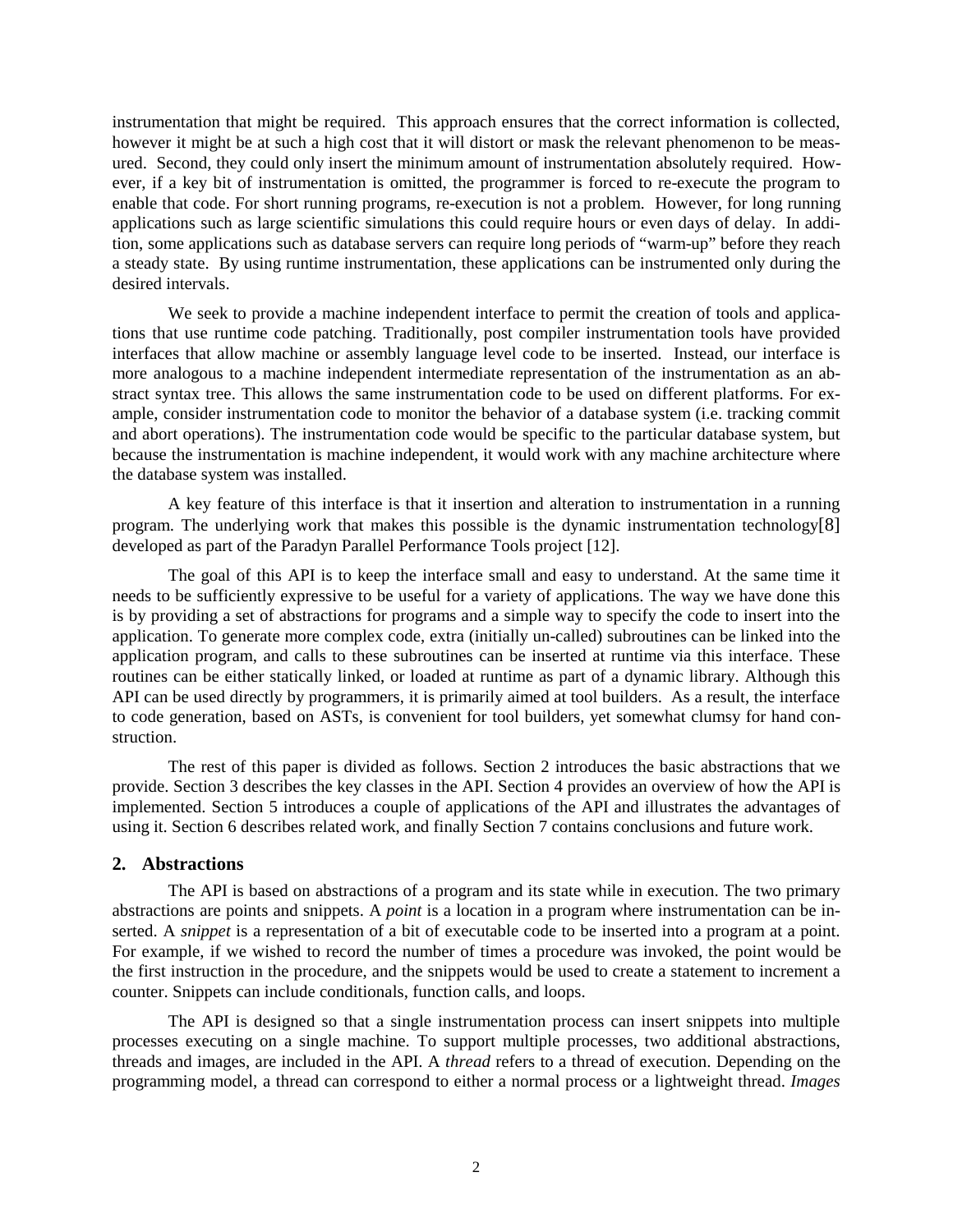instrumentation that might be required. This approach ensures that the correct information is collected, however it might be at such a high cost that it will distort or mask the relevant phenomenon to be measured. Second, they could only insert the minimum amount of instrumentation absolutely required. However, if a key bit of instrumentation is omitted, the programmer is forced to re-execute the program to enable that code. For short running programs, re-execution is not a problem. However, for long running applications such as large scientific simulations this could require hours or even days of delay. In addition, some applications such as database servers can require long periods of "warm-up" before they reach a steady state. By using runtime instrumentation, these applications can be instrumented only during the desired intervals.

We seek to provide a machine independent interface to permit the creation of tools and applications that use runtime code patching. Traditionally, post compiler instrumentation tools have provided interfaces that allow machine or assembly language level code to be inserted. Instead, our interface is more analogous to a machine independent intermediate representation of the instrumentation as an abstract syntax tree. This allows the same instrumentation code to be used on different platforms. For example, consider instrumentation code to monitor the behavior of a database system (i.e. tracking commit and abort operations). The instrumentation code would be specific to the particular database system, but because the instrumentation is machine independent, it would work with any machine architecture where the database system was installed.

A key feature of this interface is that it insertion and alteration to instrumentation in a running program. The underlying work that makes this possible is the dynamic instrumentation technology[8] developed as part of the Paradyn Parallel Performance Tools project [12].

The goal of this API is to keep the interface small and easy to understand. At the same time it needs to be sufficiently expressive to be useful for a variety of applications. The way we have done this is by providing a set of abstractions for programs and a simple way to specify the code to insert into the application. To generate more complex code, extra (initially un-called) subroutines can be linked into the application program, and calls to these subroutines can be inserted at runtime via this interface. These routines can be either statically linked, or loaded at runtime as part of a dynamic library. Although this API can be used directly by programmers, it is primarily aimed at tool builders. As a result, the interface to code generation, based on ASTs, is convenient for tool builders, yet somewhat clumsy for hand construction.

The rest of this paper is divided as follows. Section 2 introduces the basic abstractions that we provide. Section 3 describes the key classes in the API. Section 4 provides an overview of how the API is implemented. Section 5 introduces a couple of applications of the API and illustrates the advantages of using it. Section 6 describes related work, and finally Section 7 contains conclusions and future work.

### **2. Abstractions**

The API is based on abstractions of a program and its state while in execution. The two primary abstractions are points and snippets. A *point* is a location in a program where instrumentation can be inserted. A *snippet* is a representation of a bit of executable code to be inserted into a program at a point. For example, if we wished to record the number of times a procedure was invoked, the point would be the first instruction in the procedure, and the snippets would be used to create a statement to increment a counter. Snippets can include conditionals, function calls, and loops.

The API is designed so that a single instrumentation process can insert snippets into multiple processes executing on a single machine. To support multiple processes, two additional abstractions, threads and images, are included in the API. A *thread* refers to a thread of execution. Depending on the programming model, a thread can correspond to either a normal process or a lightweight thread. *Images*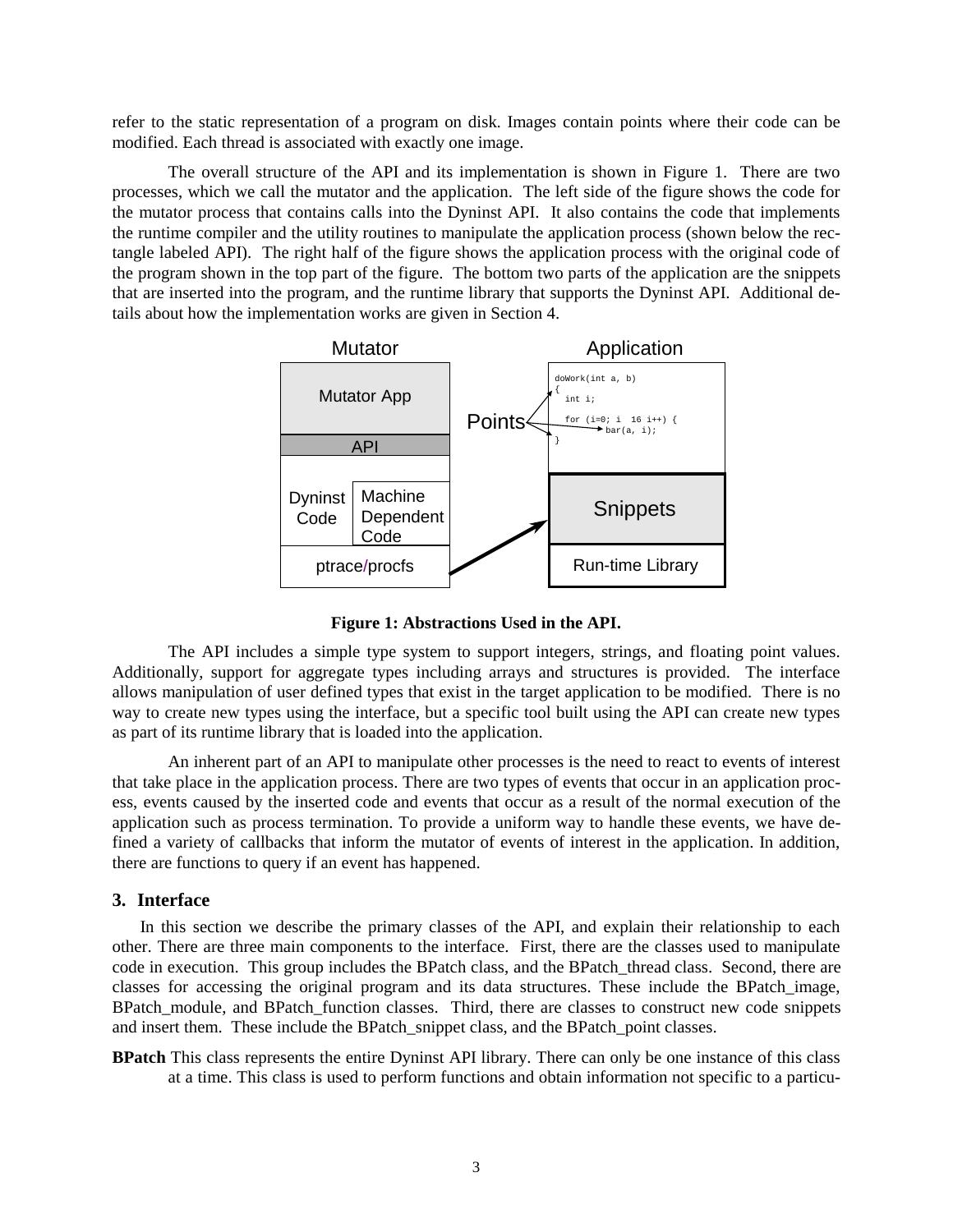refer to the static representation of a program on disk. Images contain points where their code can be modified. Each thread is associated with exactly one image.

The overall structure of the API and its implementation is shown in Figure 1. There are two processes, which we call the mutator and the application. The left side of the figure shows the code for the mutator process that contains calls into the Dyninst API. It also contains the code that implements the runtime compiler and the utility routines to manipulate the application process (shown below the rectangle labeled API). The right half of the figure shows the application process with the original code of the program shown in the top part of the figure. The bottom two parts of the application are the snippets that are inserted into the program, and the runtime library that supports the Dyninst API. Additional details about how the implementation works are given in Section 4.



**Figure 1: Abstractions Used in the API.** 

The API includes a simple type system to support integers, strings, and floating point values. Additionally, support for aggregate types including arrays and structures is provided. The interface allows manipulation of user defined types that exist in the target application to be modified. There is no way to create new types using the interface, but a specific tool built using the API can create new types as part of its runtime library that is loaded into the application.

An inherent part of an API to manipulate other processes is the need to react to events of interest that take place in the application process. There are two types of events that occur in an application process, events caused by the inserted code and events that occur as a result of the normal execution of the application such as process termination. To provide a uniform way to handle these events, we have defined a variety of callbacks that inform the mutator of events of interest in the application. In addition, there are functions to query if an event has happened.

### **3. Interface**

In this section we describe the primary classes of the API, and explain their relationship to each other. There are three main components to the interface. First, there are the classes used to manipulate code in execution. This group includes the BPatch class, and the BPatch\_thread class. Second, there are classes for accessing the original program and its data structures. These include the BPatch\_image, BPatch\_module, and BPatch\_function classes. Third, there are classes to construct new code snippets and insert them. These include the BPatch\_snippet class, and the BPatch\_point classes.

**BPatch** This class represents the entire Dyninst API library. There can only be one instance of this class at a time. This class is used to perform functions and obtain information not specific to a particu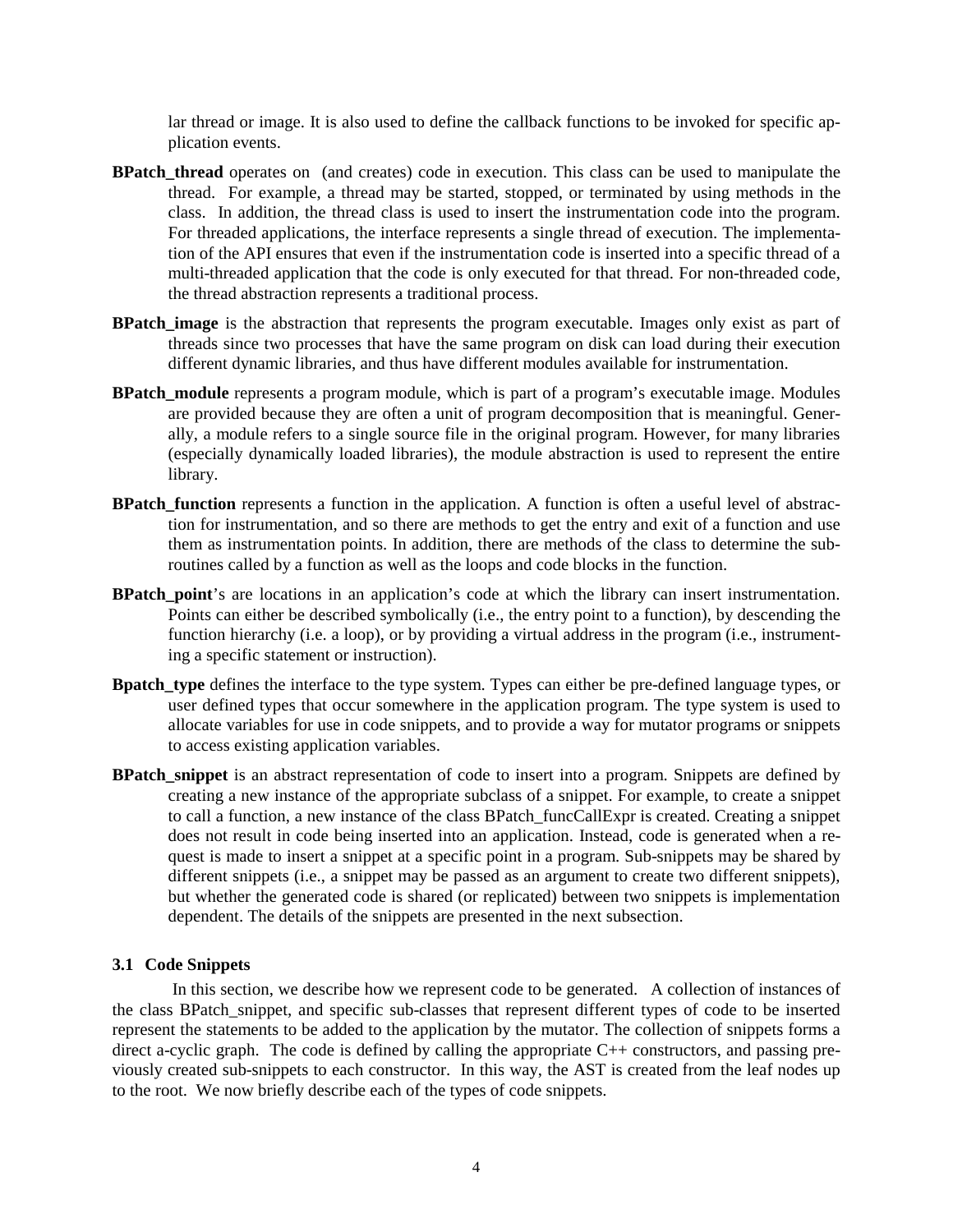lar thread or image. It is also used to define the callback functions to be invoked for specific application events.

- **BPatch\_thread** operates on (and creates) code in execution. This class can be used to manipulate the thread. For example, a thread may be started, stopped, or terminated by using methods in the class. In addition, the thread class is used to insert the instrumentation code into the program. For threaded applications, the interface represents a single thread of execution. The implementation of the API ensures that even if the instrumentation code is inserted into a specific thread of a multi-threaded application that the code is only executed for that thread. For non-threaded code, the thread abstraction represents a traditional process.
- **BPatch image** is the abstraction that represents the program executable. Images only exist as part of threads since two processes that have the same program on disk can load during their execution different dynamic libraries, and thus have different modules available for instrumentation.
- **BPatch\_module** represents a program module, which is part of a program's executable image. Modules are provided because they are often a unit of program decomposition that is meaningful. Generally, a module refers to a single source file in the original program. However, for many libraries (especially dynamically loaded libraries), the module abstraction is used to represent the entire library.
- **BPatch\_function** represents a function in the application. A function is often a useful level of abstraction for instrumentation, and so there are methods to get the entry and exit of a function and use them as instrumentation points. In addition, there are methods of the class to determine the subroutines called by a function as well as the loops and code blocks in the function.
- **BPatch\_point**'s are locations in an application's code at which the library can insert instrumentation. Points can either be described symbolically (i.e., the entry point to a function), by descending the function hierarchy (i.e. a loop), or by providing a virtual address in the program (i.e., instrumenting a specific statement or instruction).
- **Bpatch\_type** defines the interface to the type system. Types can either be pre-defined language types, or user defined types that occur somewhere in the application program. The type system is used to allocate variables for use in code snippets, and to provide a way for mutator programs or snippets to access existing application variables.
- **BPatch snippet** is an abstract representation of code to insert into a program. Snippets are defined by creating a new instance of the appropriate subclass of a snippet. For example, to create a snippet to call a function, a new instance of the class BPatch funcCallExpr is created. Creating a snippet does not result in code being inserted into an application. Instead, code is generated when a request is made to insert a snippet at a specific point in a program. Sub-snippets may be shared by different snippets (i.e., a snippet may be passed as an argument to create two different snippets), but whether the generated code is shared (or replicated) between two snippets is implementation dependent. The details of the snippets are presented in the next subsection.

#### **3.1 Code Snippets**

 In this section, we describe how we represent code to be generated. A collection of instances of the class BPatch\_snippet, and specific sub-classes that represent different types of code to be inserted represent the statements to be added to the application by the mutator. The collection of snippets forms a direct a-cyclic graph. The code is defined by calling the appropriate C++ constructors, and passing previously created sub-snippets to each constructor. In this way, the AST is created from the leaf nodes up to the root. We now briefly describe each of the types of code snippets.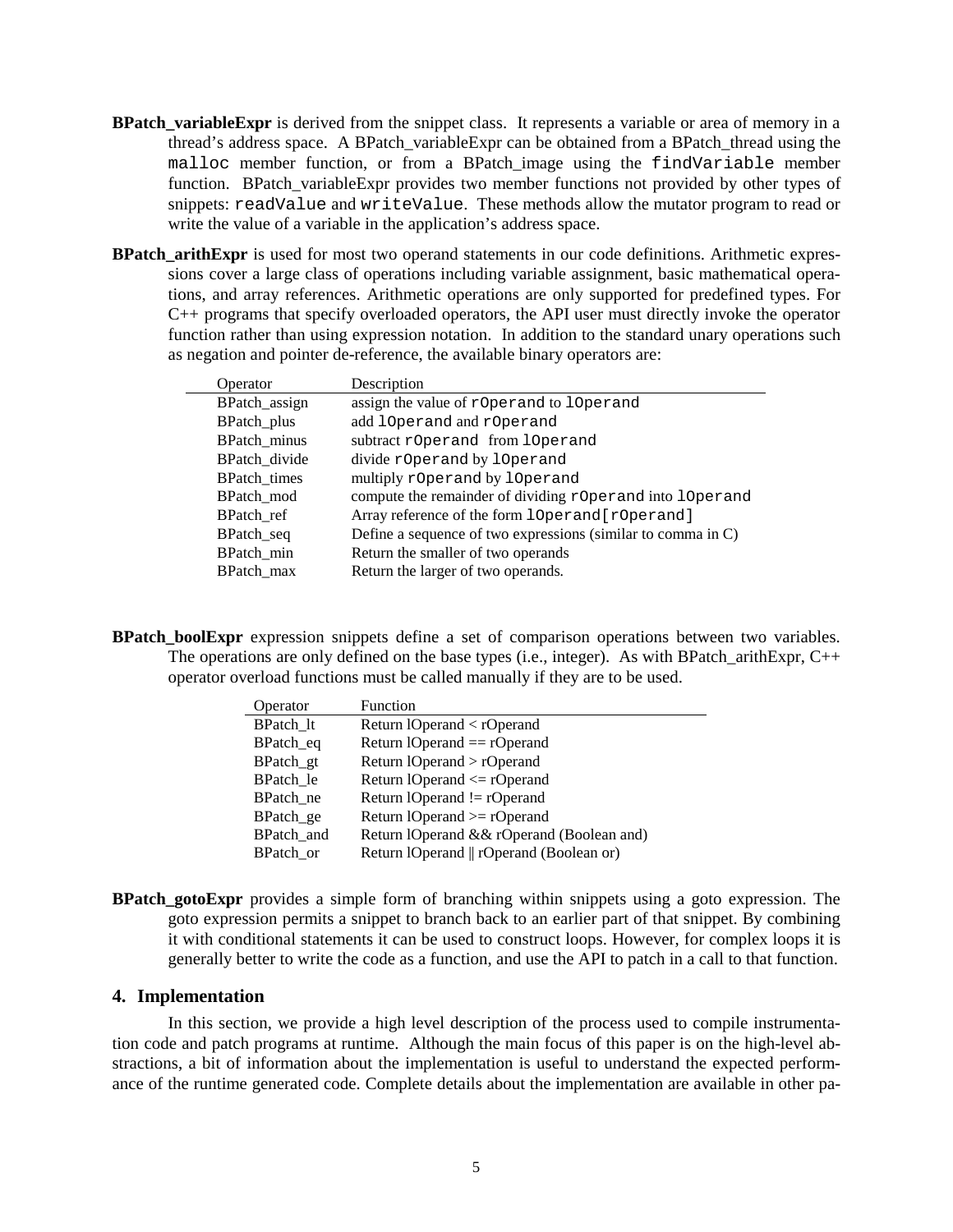- **BPatch variable Expr** is derived from the snippet class. It represents a variable or area of memory in a thread's address space. A BPatch\_variableExpr can be obtained from a BPatch\_thread using the malloc member function, or from a BPatch\_image using the findVariable member function. BPatch variableExpr provides two member functions not provided by other types of snippets: readValue and writeValue. These methods allow the mutator program to read or write the value of a variable in the application's address space.
- **BPatch\_arithExpr** is used for most two operand statements in our code definitions. Arithmetic expressions cover a large class of operations including variable assignment, basic mathematical operations, and array references. Arithmetic operations are only supported for predefined types. For C++ programs that specify overloaded operators, the API user must directly invoke the operator function rather than using expression notation. In addition to the standard unary operations such as negation and pointer de-reference, the available binary operators are:

| Operator      | Description                                                  |
|---------------|--------------------------------------------------------------|
| BPatch_assign | assign the value of rOperand to 10 perand                    |
| BPatch_plus   | add 10 perand and r0 perand                                  |
| BPatch_minus  | subtract rOperand from 10 perand                             |
| BPatch_divide | divide r0perand by 10perand                                  |
| BPatch times  | multiply r0perand by 10perand                                |
| BPatch mod    | compute the remainder of dividing rOperand into 10 perand    |
| BPatch ref    | Array reference of the form 10perand [r0perand]              |
| BPatch_seq    | Define a sequence of two expressions (similar to comma in C) |
| BPatch min    | Return the smaller of two operands                           |
| BPatch max    | Return the larger of two operands.                           |
|               |                                                              |

**BPatch boolExpr** expression snippets define a set of comparison operations between two variables. The operations are only defined on the base types (i.e., integer). As with BPatch arithExpr,  $C++$ operator overload functions must be called manually if they are to be used.

| Operator         | Function                                  |  |  |
|------------------|-------------------------------------------|--|--|
| <b>BPatch</b> It | Return $10$ perand $\langle$ rOperand     |  |  |
| BPatch_eq        | Return $10$ perand $==$ rO perand         |  |  |
| BPatch_gt        | Return lOperand > rOperand                |  |  |
| BPatch le        | Return $10$ perand $\leq$ rO perand       |  |  |
| BPatch ne        | Return $10perand \leq r0perand$           |  |  |
| BPatch_ge        | Return $10$ perand $\geq$ r $0$ perand    |  |  |
| BPatch_and       | Return lOperand && rOperand (Boolean and) |  |  |
| BPatch or        | Return lOperand    rOperand (Boolean or)  |  |  |

**BPatch\_gotoExpr** provides a simple form of branching within snippets using a goto expression. The goto expression permits a snippet to branch back to an earlier part of that snippet. By combining it with conditional statements it can be used to construct loops. However, for complex loops it is generally better to write the code as a function, and use the API to patch in a call to that function.

### **4. Implementation**

In this section, we provide a high level description of the process used to compile instrumentation code and patch programs at runtime. Although the main focus of this paper is on the high-level abstractions, a bit of information about the implementation is useful to understand the expected performance of the runtime generated code. Complete details about the implementation are available in other pa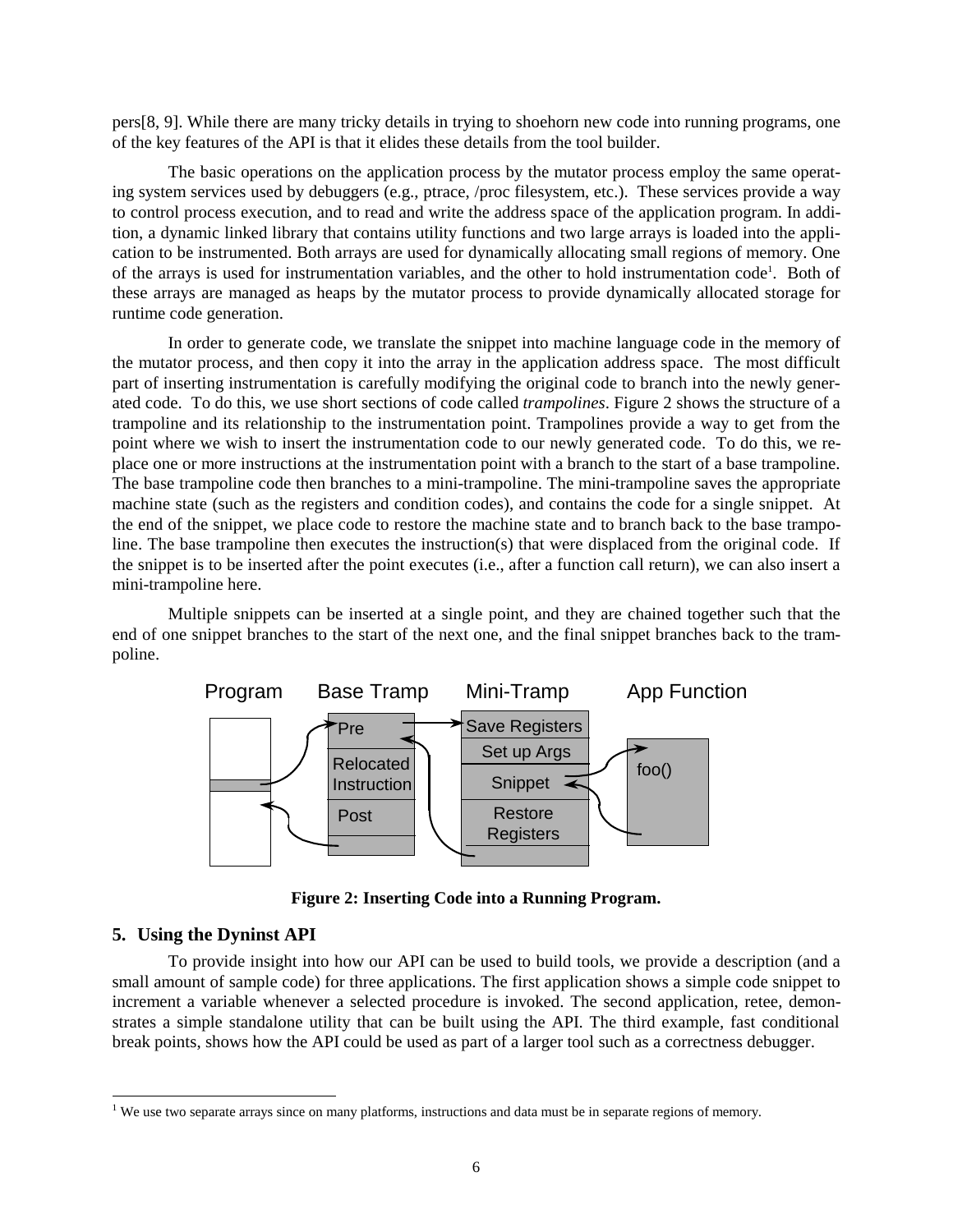pers[8, 9]. While there are many tricky details in trying to shoehorn new code into running programs, one of the key features of the API is that it elides these details from the tool builder.

The basic operations on the application process by the mutator process employ the same operating system services used by debuggers (e.g., ptrace, /proc filesystem, etc.). These services provide a way to control process execution, and to read and write the address space of the application program. In addition, a dynamic linked library that contains utility functions and two large arrays is loaded into the application to be instrumented. Both arrays are used for dynamically allocating small regions of memory. One of the arrays is used for instrumentation variables, and the other to hold instrumentation code<sup>1</sup>. Both of these arrays are managed as heaps by the mutator process to provide dynamically allocated storage for runtime code generation.

In order to generate code, we translate the snippet into machine language code in the memory of the mutator process, and then copy it into the array in the application address space. The most difficult part of inserting instrumentation is carefully modifying the original code to branch into the newly generated code. To do this, we use short sections of code called *trampolines*. Figure 2 shows the structure of a trampoline and its relationship to the instrumentation point. Trampolines provide a way to get from the point where we wish to insert the instrumentation code to our newly generated code. To do this, we replace one or more instructions at the instrumentation point with a branch to the start of a base trampoline. The base trampoline code then branches to a mini-trampoline. The mini-trampoline saves the appropriate machine state (such as the registers and condition codes), and contains the code for a single snippet. At the end of the snippet, we place code to restore the machine state and to branch back to the base trampoline. The base trampoline then executes the instruction(s) that were displaced from the original code. If the snippet is to be inserted after the point executes (i.e., after a function call return), we can also insert a mini-trampoline here.

Multiple snippets can be inserted at a single point, and they are chained together such that the end of one snippet branches to the start of the next one, and the final snippet branches back to the trampoline.



**Figure 2: Inserting Code into a Running Program.** 

### **5. Using the Dyninst API**

 $\overline{a}$ 

To provide insight into how our API can be used to build tools, we provide a description (and a small amount of sample code) for three applications. The first application shows a simple code snippet to increment a variable whenever a selected procedure is invoked. The second application, retee, demonstrates a simple standalone utility that can be built using the API. The third example, fast conditional break points, shows how the API could be used as part of a larger tool such as a correctness debugger.

<sup>&</sup>lt;sup>1</sup> We use two separate arrays since on many platforms, instructions and data must be in separate regions of memory.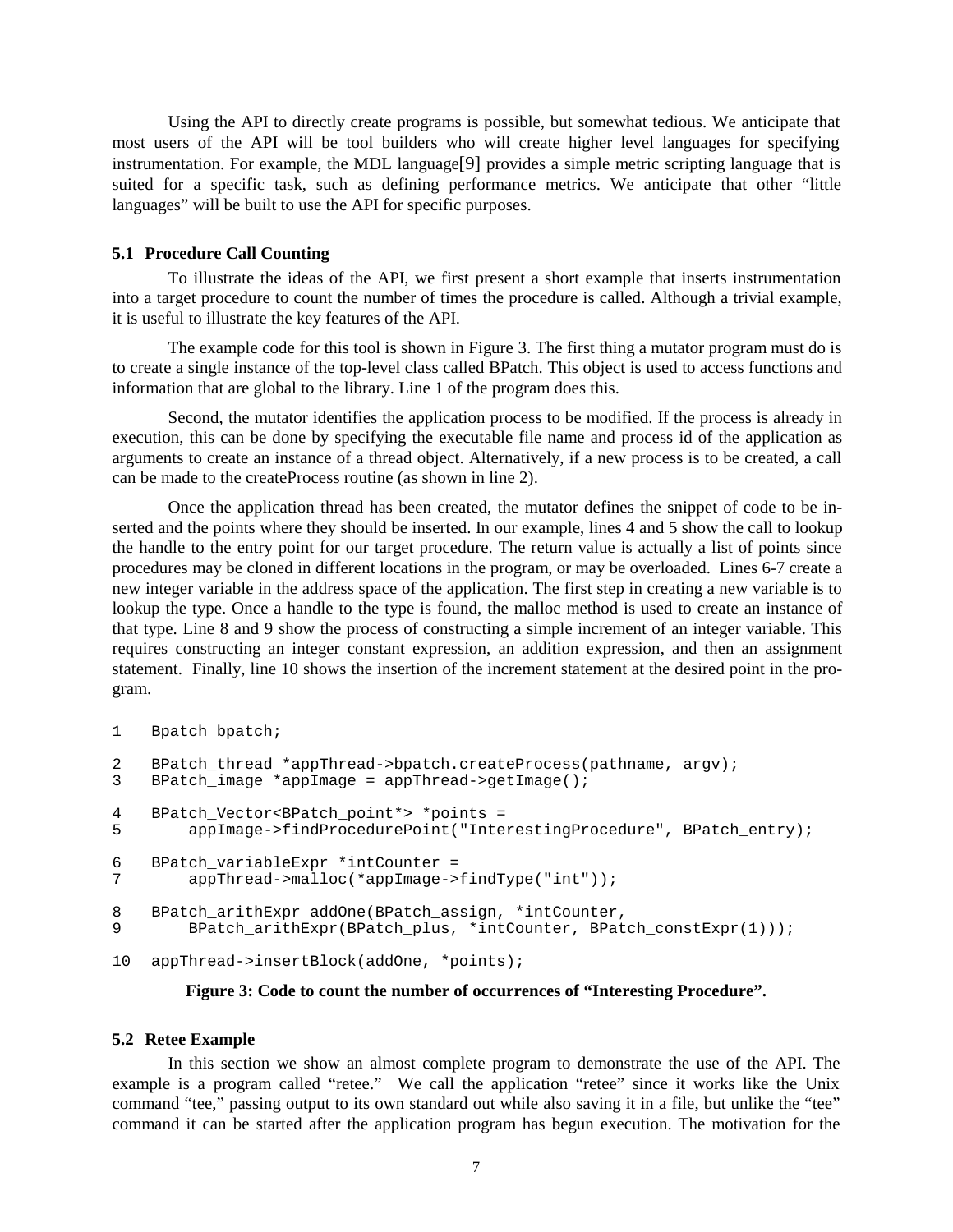Using the API to directly create programs is possible, but somewhat tedious. We anticipate that most users of the API will be tool builders who will create higher level languages for specifying instrumentation. For example, the MDL language[9] provides a simple metric scripting language that is suited for a specific task, such as defining performance metrics. We anticipate that other "little languages" will be built to use the API for specific purposes.

#### **5.1 Procedure Call Counting**

To illustrate the ideas of the API, we first present a short example that inserts instrumentation into a target procedure to count the number of times the procedure is called. Although a trivial example, it is useful to illustrate the key features of the API.

The example code for this tool is shown in Figure 3. The first thing a mutator program must do is to create a single instance of the top-level class called BPatch. This object is used to access functions and information that are global to the library. Line 1 of the program does this.

Second, the mutator identifies the application process to be modified. If the process is already in execution, this can be done by specifying the executable file name and process id of the application as arguments to create an instance of a thread object. Alternatively, if a new process is to be created, a call can be made to the createProcess routine (as shown in line 2).

Once the application thread has been created, the mutator defines the snippet of code to be inserted and the points where they should be inserted. In our example, lines 4 and 5 show the call to lookup the handle to the entry point for our target procedure. The return value is actually a list of points since procedures may be cloned in different locations in the program, or may be overloaded. Lines 6-7 create a new integer variable in the address space of the application. The first step in creating a new variable is to lookup the type. Once a handle to the type is found, the malloc method is used to create an instance of that type. Line 8 and 9 show the process of constructing a simple increment of an integer variable. This requires constructing an integer constant expression, an addition expression, and then an assignment statement. Finally, line 10 shows the insertion of the increment statement at the desired point in the program.

```
1 Bpatch bpatch;
```

```
2 BPatch_thread *appThread->bpatch.createProcess(pathname, argv);
3 BPatch_image *appImage = appThread->getImage(); 
4 BPatch_Vector<BPatch_point*> *points = 
5 appImage->findProcedurePoint("InterestingProcedure", BPatch_entry); 
6 BPatch_variableExpr *intCounter =<br>7 appThread->malloc(*appImage->
         appThread->malloc(*appImage->findType("int"));
8 BPatch_arithExpr addOne(BPatch_assign, *intCounter,<br>9 BPatch_arithExpr(BPatch_plus, *intCounter, BPat
         BPatch arithExpr(BPatch plus, *intCounter, BPatch constExpr(1)));
10 appThread->insertBlock(addOne, *points);
```
#### **Figure 3: Code to count the number of occurrences of "Interesting Procedure".**

#### **5.2 Retee Example**

In this section we show an almost complete program to demonstrate the use of the API. The example is a program called "retee." We call the application "retee" since it works like the Unix command "tee," passing output to its own standard out while also saving it in a file, but unlike the "tee" command it can be started after the application program has begun execution. The motivation for the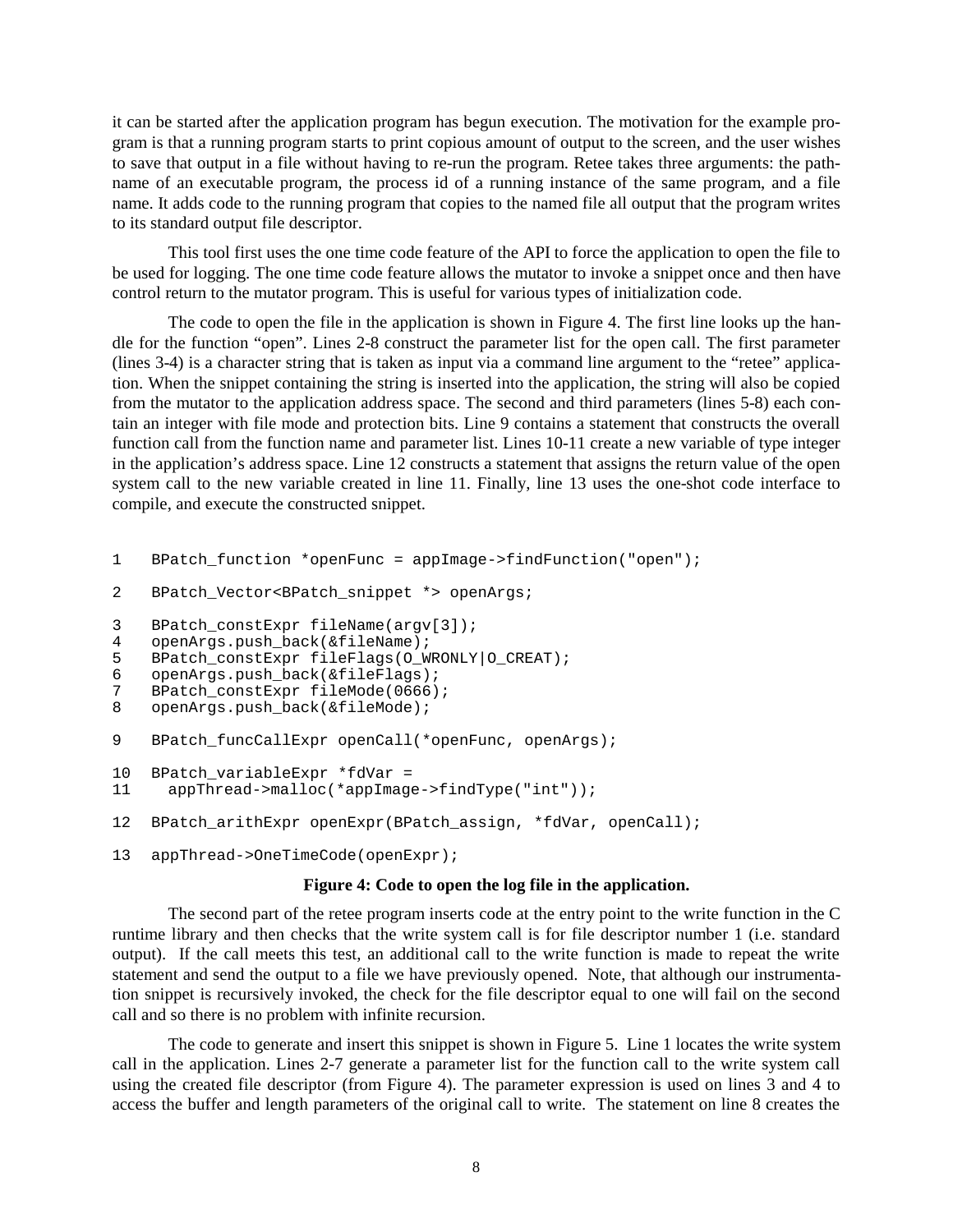it can be started after the application program has begun execution. The motivation for the example program is that a running program starts to print copious amount of output to the screen, and the user wishes to save that output in a file without having to re-run the program. Retee takes three arguments: the pathname of an executable program, the process id of a running instance of the same program, and a file name. It adds code to the running program that copies to the named file all output that the program writes to its standard output file descriptor.

This tool first uses the one time code feature of the API to force the application to open the file to be used for logging. The one time code feature allows the mutator to invoke a snippet once and then have control return to the mutator program. This is useful for various types of initialization code.

The code to open the file in the application is shown in Figure 4. The first line looks up the handle for the function "open". Lines 2-8 construct the parameter list for the open call. The first parameter (lines 3-4) is a character string that is taken as input via a command line argument to the "retee" application. When the snippet containing the string is inserted into the application, the string will also be copied from the mutator to the application address space. The second and third parameters (lines 5-8) each contain an integer with file mode and protection bits. Line 9 contains a statement that constructs the overall function call from the function name and parameter list. Lines 10-11 create a new variable of type integer in the application's address space. Line 12 constructs a statement that assigns the return value of the open system call to the new variable created in line 11. Finally, line 13 uses the one-shot code interface to compile, and execute the constructed snippet.

```
1 BPatch function *openFunc = appImage->findFunction("open");
2 BPatch Vector<BPatch snippet *> openArgs;
3 BPatch_constExpr fileName(argv[3]);<br>4 openArgs.push back(&fileName);
    4 openArgs.push_back(&fileName); 
5 BPatch_constExpr fileFlags(O_WRONLY|O_CREAT); 
6 openArgs.push_back(&fileFlags); 
7 BPatch_constExpr fileMode(0666); 
8 openArgs.push_back(&fileMode); 
9 BPatch funcCallExpr openCall(*openFunc, openArgs);
10 BPatch_variableExpr *fdVar =<br>11 appThread->malloc(*appImage
      appThread->malloc(*appImage->findType("int"));
12 BPatch_arithExpr openExpr(BPatch_assign, *fdVar, openCall); 
13 appThread->OneTimeCode(openExpr);
```
#### **Figure 4: Code to open the log file in the application.**

The second part of the retee program inserts code at the entry point to the write function in the C runtime library and then checks that the write system call is for file descriptor number 1 (i.e. standard output). If the call meets this test, an additional call to the write function is made to repeat the write statement and send the output to a file we have previously opened. Note, that although our instrumentation snippet is recursively invoked, the check for the file descriptor equal to one will fail on the second call and so there is no problem with infinite recursion.

The code to generate and insert this snippet is shown in Figure 5. Line 1 locates the write system call in the application. Lines 2-7 generate a parameter list for the function call to the write system call using the created file descriptor (from Figure 4). The parameter expression is used on lines 3 and 4 to access the buffer and length parameters of the original call to write. The statement on line 8 creates the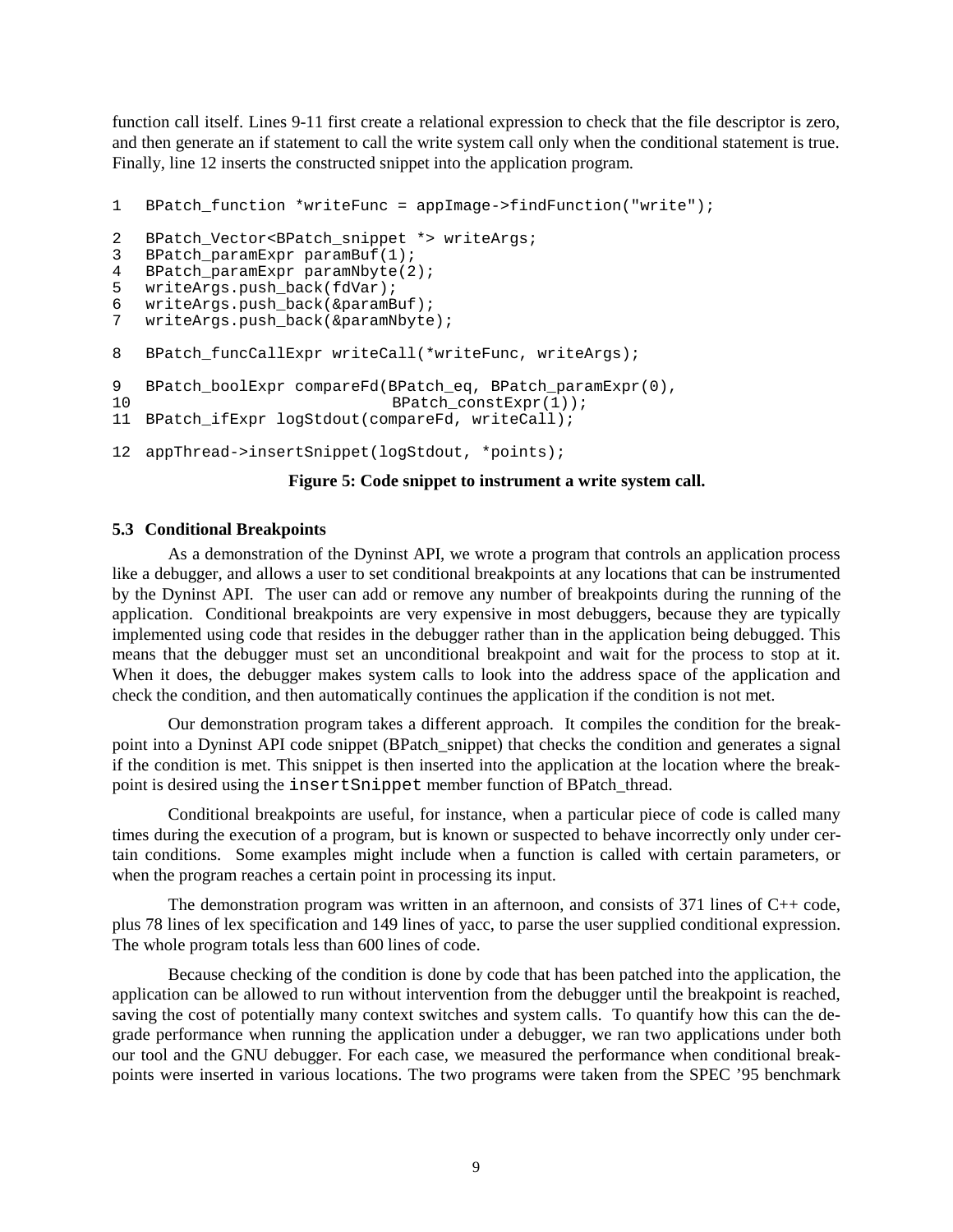function call itself. Lines 9-11 first create a relational expression to check that the file descriptor is zero, and then generate an if statement to call the write system call only when the conditional statement is true. Finally, line 12 inserts the constructed snippet into the application program.

```
1 BPatch_function *writeFunc = appImage->findFunction("write"); 
2 BPatch_Vector<BPatch_snippet *> writeArgs; 
3 BPatch_paramExpr paramBuf(1); 
4 BPatch_paramExpr paramNbyte(2); 
5 writeArgs.push back(fdVar);
6 writeArgs.push_back(&paramBuf);
7 writeArgs.push back(&paramNbyte);
8 BPatch funcCallExpr writeCall(*writeFunc, writeArgs);
9 BPatch_boolExpr compareFd(BPatch_eq, BPatch_paramExpr(0),<br>10 BPatch_constExpr(1));
                               BPatch constExpr(1));
11 BPatch ifExpr logStdout(compareFd, writeCall);
12 appThread->insertSnippet(logStdout, *points);
```
#### **Figure 5: Code snippet to instrument a write system call.**

#### **5.3 Conditional Breakpoints**

As a demonstration of the Dyninst API, we wrote a program that controls an application process like a debugger, and allows a user to set conditional breakpoints at any locations that can be instrumented by the Dyninst API. The user can add or remove any number of breakpoints during the running of the application. Conditional breakpoints are very expensive in most debuggers, because they are typically implemented using code that resides in the debugger rather than in the application being debugged. This means that the debugger must set an unconditional breakpoint and wait for the process to stop at it. When it does, the debugger makes system calls to look into the address space of the application and check the condition, and then automatically continues the application if the condition is not met.

Our demonstration program takes a different approach. It compiles the condition for the breakpoint into a Dyninst API code snippet (BPatch\_snippet) that checks the condition and generates a signal if the condition is met. This snippet is then inserted into the application at the location where the breakpoint is desired using the insertSnippet member function of BPatch\_thread.

Conditional breakpoints are useful, for instance, when a particular piece of code is called many times during the execution of a program, but is known or suspected to behave incorrectly only under certain conditions. Some examples might include when a function is called with certain parameters, or when the program reaches a certain point in processing its input.

The demonstration program was written in an afternoon, and consists of 371 lines of C++ code, plus 78 lines of lex specification and 149 lines of yacc, to parse the user supplied conditional expression. The whole program totals less than 600 lines of code.

Because checking of the condition is done by code that has been patched into the application, the application can be allowed to run without intervention from the debugger until the breakpoint is reached, saving the cost of potentially many context switches and system calls. To quantify how this can the degrade performance when running the application under a debugger, we ran two applications under both our tool and the GNU debugger. For each case, we measured the performance when conditional breakpoints were inserted in various locations. The two programs were taken from the SPEC '95 benchmark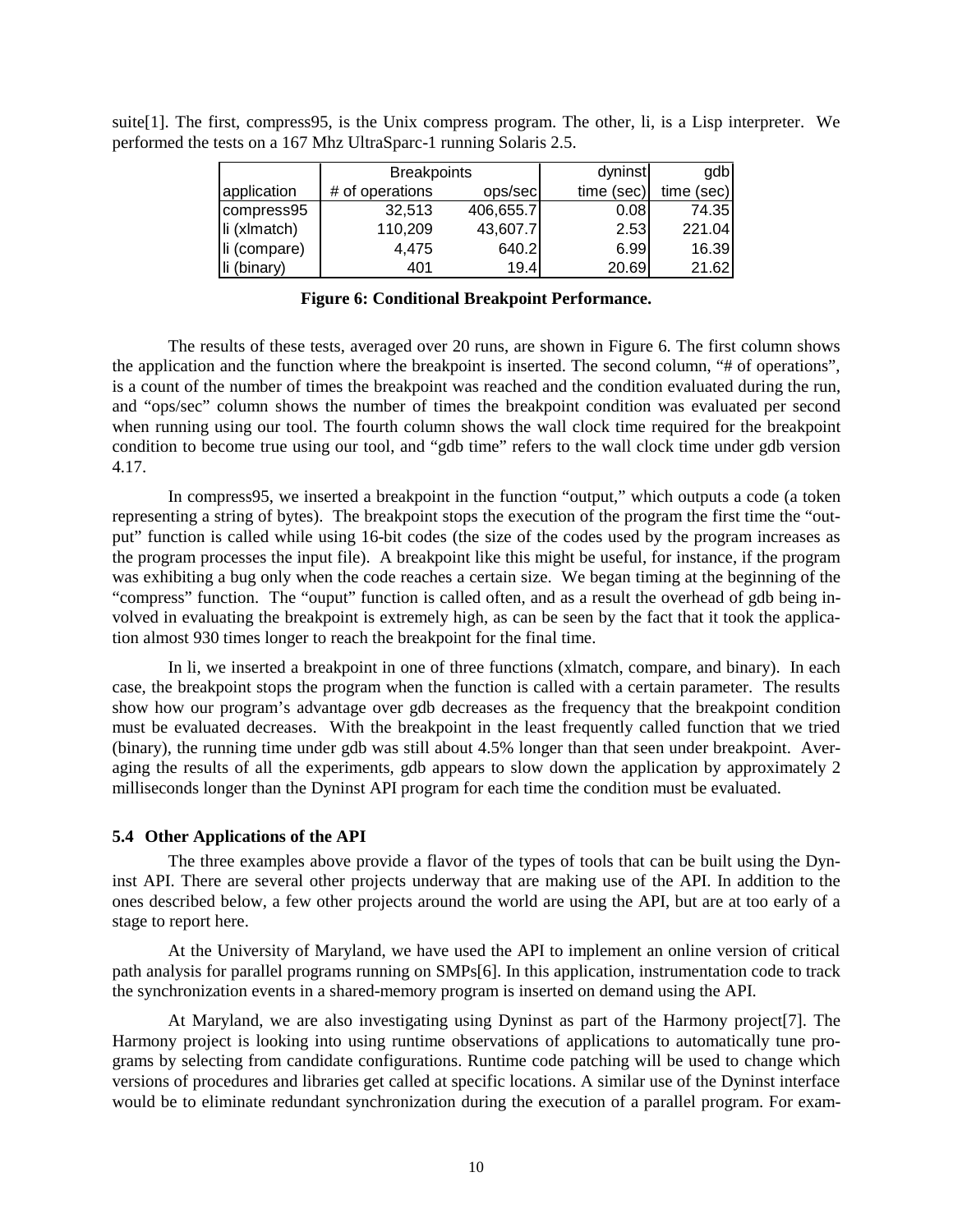|              | <b>Breakpoints</b> |           | dyninst    | gdb        |
|--------------|--------------------|-----------|------------|------------|
| application  | # of operations    | ops/sec   | time (sec) | time (sec) |
| compress95   | 32.513             | 406,655.7 | 0.08       | 74.35      |
| li (xlmatch) | 110,209            | 43,607.7  | 2.53       | 221.04     |
| li (compare) | 4,475              | 640.2     | 6.99       | 16.39      |
| li (binary)  | 401                | 19.4      | 20.69      | 21.62      |

suite[1]. The first, compress95, is the Unix compress program. The other, li, is a Lisp interpreter. We performed the tests on a 167 Mhz UltraSparc-1 running Solaris 2.5.

### **Figure 6: Conditional Breakpoint Performance.**

The results of these tests, averaged over 20 runs, are shown in Figure 6. The first column shows the application and the function where the breakpoint is inserted. The second column, "# of operations", is a count of the number of times the breakpoint was reached and the condition evaluated during the run, and "ops/sec" column shows the number of times the breakpoint condition was evaluated per second when running using our tool. The fourth column shows the wall clock time required for the breakpoint condition to become true using our tool, and "gdb time" refers to the wall clock time under gdb version 4.17.

In compress95, we inserted a breakpoint in the function "output," which outputs a code (a token representing a string of bytes). The breakpoint stops the execution of the program the first time the "output" function is called while using 16-bit codes (the size of the codes used by the program increases as the program processes the input file). A breakpoint like this might be useful, for instance, if the program was exhibiting a bug only when the code reaches a certain size. We began timing at the beginning of the "compress" function. The "ouput" function is called often, and as a result the overhead of gdb being involved in evaluating the breakpoint is extremely high, as can be seen by the fact that it took the application almost 930 times longer to reach the breakpoint for the final time.

In li, we inserted a breakpoint in one of three functions (xlmatch, compare, and binary). In each case, the breakpoint stops the program when the function is called with a certain parameter. The results show how our program's advantage over gdb decreases as the frequency that the breakpoint condition must be evaluated decreases. With the breakpoint in the least frequently called function that we tried (binary), the running time under gdb was still about 4.5% longer than that seen under breakpoint. Averaging the results of all the experiments, gdb appears to slow down the application by approximately 2 milliseconds longer than the Dyninst API program for each time the condition must be evaluated.

#### **5.4 Other Applications of the API**

The three examples above provide a flavor of the types of tools that can be built using the Dyninst API. There are several other projects underway that are making use of the API. In addition to the ones described below, a few other projects around the world are using the API, but are at too early of a stage to report here.

At the University of Maryland, we have used the API to implement an online version of critical path analysis for parallel programs running on SMPs[6]. In this application, instrumentation code to track the synchronization events in a shared-memory program is inserted on demand using the API.

At Maryland, we are also investigating using Dyninst as part of the Harmony project[7]. The Harmony project is looking into using runtime observations of applications to automatically tune programs by selecting from candidate configurations. Runtime code patching will be used to change which versions of procedures and libraries get called at specific locations. A similar use of the Dyninst interface would be to eliminate redundant synchronization during the execution of a parallel program. For exam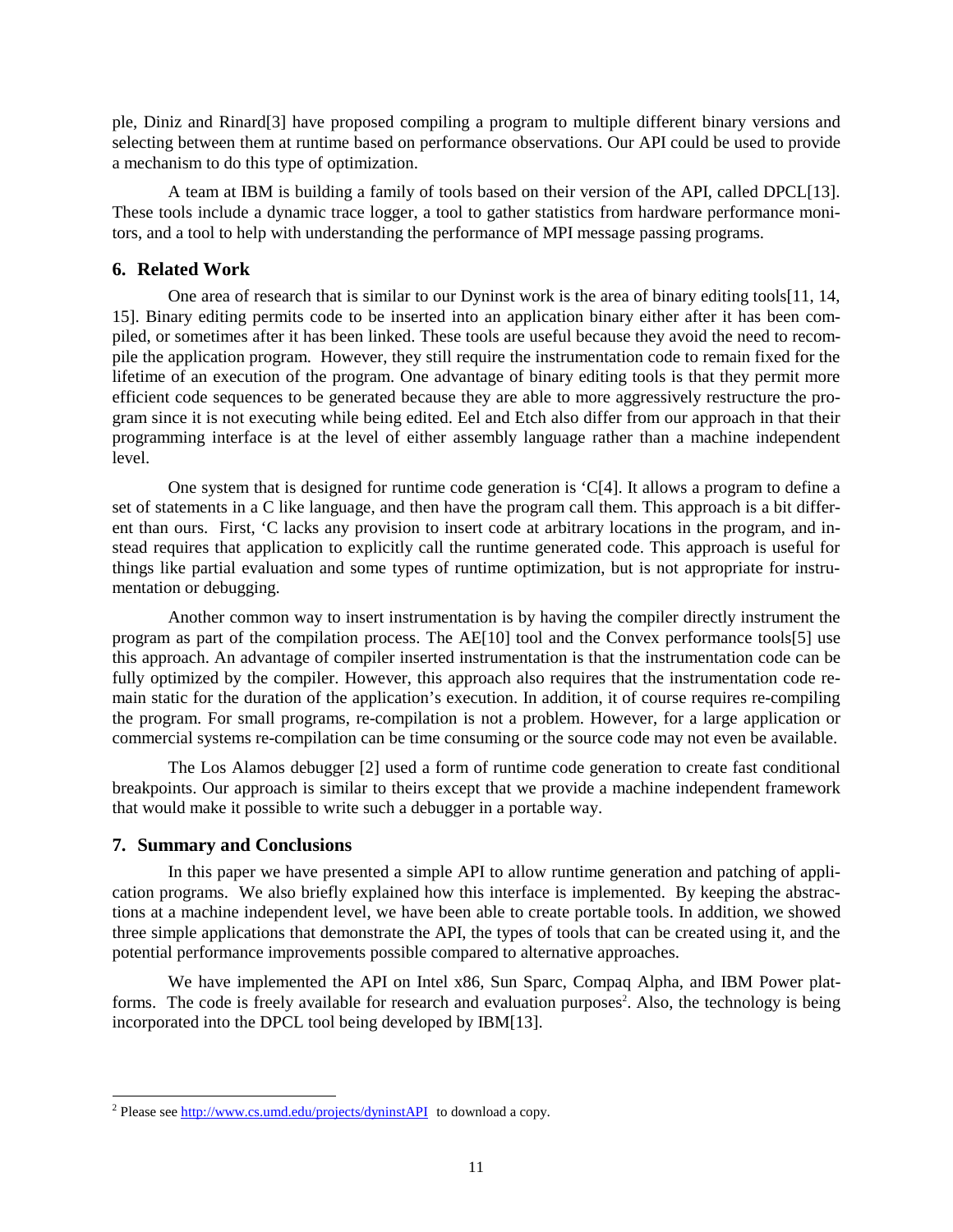ple, Diniz and Rinard[3] have proposed compiling a program to multiple different binary versions and selecting between them at runtime based on performance observations. Our API could be used to provide a mechanism to do this type of optimization.

A team at IBM is building a family of tools based on their version of the API, called DPCL[13]. These tools include a dynamic trace logger, a tool to gather statistics from hardware performance monitors, and a tool to help with understanding the performance of MPI message passing programs.

## **6. Related Work**

One area of research that is similar to our Dyninst work is the area of binary editing tools[11, 14, 15]. Binary editing permits code to be inserted into an application binary either after it has been compiled, or sometimes after it has been linked. These tools are useful because they avoid the need to recompile the application program. However, they still require the instrumentation code to remain fixed for the lifetime of an execution of the program. One advantage of binary editing tools is that they permit more efficient code sequences to be generated because they are able to more aggressively restructure the program since it is not executing while being edited. Eel and Etch also differ from our approach in that their programming interface is at the level of either assembly language rather than a machine independent level.

One system that is designed for runtime code generation is 'C[4]. It allows a program to define a set of statements in a C like language, and then have the program call them. This approach is a bit different than ours. First, 'C lacks any provision to insert code at arbitrary locations in the program, and instead requires that application to explicitly call the runtime generated code. This approach is useful for things like partial evaluation and some types of runtime optimization, but is not appropriate for instrumentation or debugging.

Another common way to insert instrumentation is by having the compiler directly instrument the program as part of the compilation process. The AE[10] tool and the Convex performance tools[5] use this approach. An advantage of compiler inserted instrumentation is that the instrumentation code can be fully optimized by the compiler. However, this approach also requires that the instrumentation code remain static for the duration of the application's execution. In addition, it of course requires re-compiling the program. For small programs, re-compilation is not a problem. However, for a large application or commercial systems re-compilation can be time consuming or the source code may not even be available.

The Los Alamos debugger [2] used a form of runtime code generation to create fast conditional breakpoints. Our approach is similar to theirs except that we provide a machine independent framework that would make it possible to write such a debugger in a portable way.

### **7. Summary and Conclusions**

In this paper we have presented a simple API to allow runtime generation and patching of application programs. We also briefly explained how this interface is implemented. By keeping the abstractions at a machine independent level, we have been able to create portable tools. In addition, we showed three simple applications that demonstrate the API, the types of tools that can be created using it, and the potential performance improvements possible compared to alternative approaches.

We have implemented the API on Intel x86, Sun Sparc, Compaq Alpha, and IBM Power platforms. The code is freely available for research and evaluation purposes<sup>2</sup>. Also, the technology is being incorporated into the DPCL tool being developed by IBM[13].

<sup>&</sup>lt;sup>2</sup> Please see http://www.cs.umd.edu/projects/dyninstAPI to download a copy.